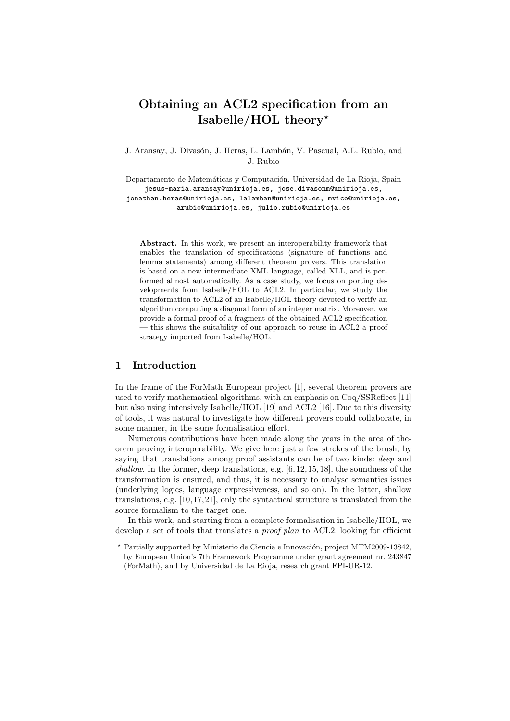# Obtaining an ACL2 specification from an Isabelle/HOL theory?

J. Aransay, J. Divasón, J. Heras, L. Lambán, V. Pascual, A.L. Rubio, and J. Rubio

Departamento de Matemáticas y Computación, Universidad de La Rioja, Spain jesus-maria.aransay@unirioja.es, jose.divasonm@unirioja.es, jonathan.heras@unirioja.es, lalamban@unirioja.es, mvico@unirioja.es, arubio@unirioja.es, julio.rubio@unirioja.es

Abstract. In this work, we present an interoperability framework that enables the translation of specifications (signature of functions and lemma statements) among different theorem provers. This translation is based on a new intermediate XML language, called XLL, and is performed almost automatically. As a case study, we focus on porting developments from Isabelle/HOL to ACL2. In particular, we study the transformation to ACL2 of an Isabelle/HOL theory devoted to verify an algorithm computing a diagonal form of an integer matrix. Moreover, we provide a formal proof of a fragment of the obtained ACL2 specification — this shows the suitability of our approach to reuse in ACL2 a proof strategy imported from Isabelle/HOL.

### 1 Introduction

In the frame of the ForMath European project [1], several theorem provers are used to verify mathematical algorithms, with an emphasis on Coq/SSReflect [11] but also using intensively Isabelle/HOL [19] and ACL2 [16]. Due to this diversity of tools, it was natural to investigate how different provers could collaborate, in some manner, in the same formalisation effort.

Numerous contributions have been made along the years in the area of theorem proving interoperability. We give here just a few strokes of the brush, by saying that translations among proof assistants can be of two kinds: *deep* and shallow. In the former, deep translations, e.g. [6, 12, 15, 18], the soundness of the transformation is ensured, and thus, it is necessary to analyse semantics issues (underlying logics, language expressiveness, and so on). In the latter, shallow translations, e.g. [10,17,21], only the syntactical structure is translated from the source formalism to the target one.

In this work, and starting from a complete formalisation in Isabelle/HOL, we develop a set of tools that translates a *proof plan* to ACL2, looking for efficient

 $*$  Partially supported by Ministerio de Ciencia e Innovación, project MTM2009-13842, by European Union's 7th Framework Programme under grant agreement nr. 243847 (ForMath), and by Universidad de La Rioja, research grant FPI-UR-12.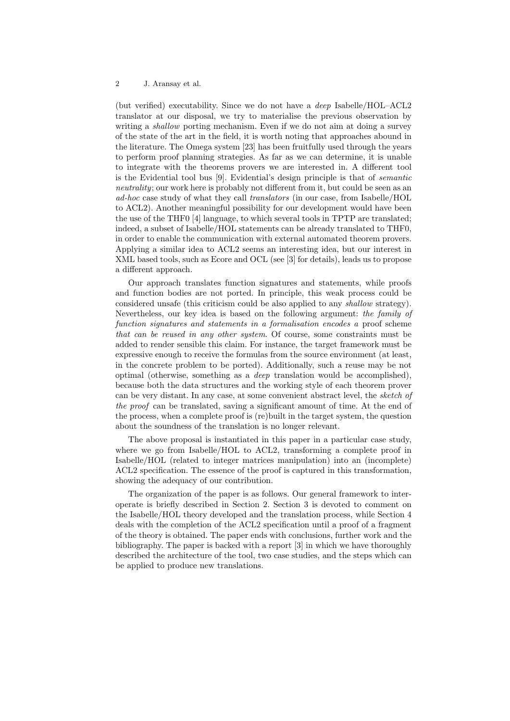(but verified) executability. Since we do not have a deep Isabelle/HOL–ACL2 translator at our disposal, we try to materialise the previous observation by writing a *shallow* porting mechanism. Even if we do not aim at doing a survey of the state of the art in the field, it is worth noting that approaches abound in the literature. The Omega system [23] has been fruitfully used through the years to perform proof planning strategies. As far as we can determine, it is unable to integrate with the theorems provers we are interested in. A different tool is the Evidential tool bus [9]. Evidential's design principle is that of semantic neutrality; our work here is probably not different from it, but could be seen as an ad-hoc case study of what they call translators (in our case, from Isabelle/HOL to ACL2). Another meaningful possibility for our development would have been the use of the THF0 [4] language, to which several tools in TPTP are translated; indeed, a subset of Isabelle/HOL statements can be already translated to THF0, in order to enable the communication with external automated theorem provers. Applying a similar idea to ACL2 seems an interesting idea, but our interest in XML based tools, such as Ecore and OCL (see [3] for details), leads us to propose a different approach.

Our approach translates function signatures and statements, while proofs and function bodies are not ported. In principle, this weak process could be considered unsafe (this criticism could be also applied to any shallow strategy). Nevertheless, our key idea is based on the following argument: the family of function signatures and statements in a formalisation encodes a proof scheme that can be reused in any other system. Of course, some constraints must be added to render sensible this claim. For instance, the target framework must be expressive enough to receive the formulas from the source environment (at least, in the concrete problem to be ported). Additionally, such a reuse may be not optimal (otherwise, something as a deep translation would be accomplished), because both the data structures and the working style of each theorem prover can be very distant. In any case, at some convenient abstract level, the *sketch of* the proof can be translated, saving a significant amount of time. At the end of the process, when a complete proof is (re)built in the target system, the question about the soundness of the translation is no longer relevant.

The above proposal is instantiated in this paper in a particular case study, where we go from Isabelle/HOL to ACL2, transforming a complete proof in Isabelle/HOL (related to integer matrices manipulation) into an (incomplete) ACL2 specification. The essence of the proof is captured in this transformation, showing the adequacy of our contribution.

The organization of the paper is as follows. Our general framework to interoperate is briefly described in Section 2. Section 3 is devoted to comment on the Isabelle/HOL theory developed and the translation process, while Section 4 deals with the completion of the ACL2 specification until a proof of a fragment of the theory is obtained. The paper ends with conclusions, further work and the bibliography. The paper is backed with a report [3] in which we have thoroughly described the architecture of the tool, two case studies, and the steps which can be applied to produce new translations.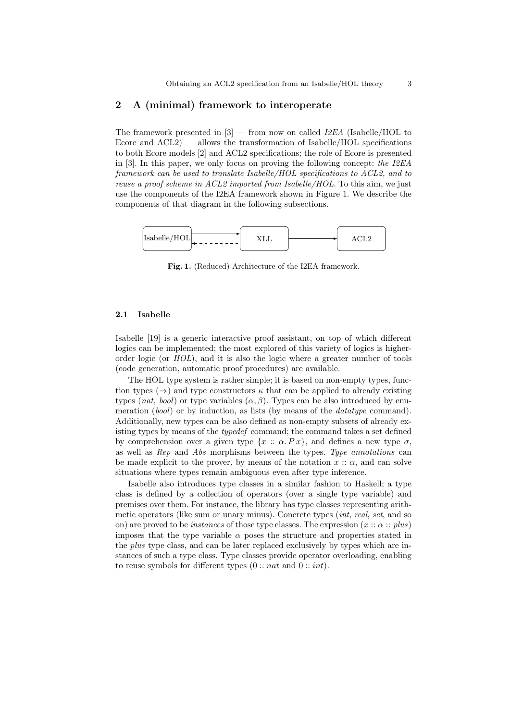## 2 A (minimal) framework to interoperate

The framework presented in  $[3]$  — from now on called *I2EA* (Isabelle/HOL to Ecore and  $ACL2$ ) — allows the transformation of Isabelle/HOL specifications to both Ecore models [2] and ACL2 specifications; the role of Ecore is presented in [3]. In this paper, we only focus on proving the following concept: the I2EA framework can be used to translate Isabelle/HOL specifications to ACL2, and to reuse a proof scheme in ACL2 imported from Isabelle/HOL. To this aim, we just use the components of the I2EA framework shown in Figure 1. We describe the components of that diagram in the following subsections.



Fig. 1. (Reduced) Architecture of the I2EA framework.

### 2.1 Isabelle

Isabelle [19] is a generic interactive proof assistant, on top of which different logics can be implemented; the most explored of this variety of logics is higherorder logic (or HOL), and it is also the logic where a greater number of tools (code generation, automatic proof procedures) are available.

The HOL type system is rather simple; it is based on non-empty types, function types ( $\Rightarrow$ ) and type constructors  $\kappa$  that can be applied to already existing types (*nat, bool*) or type variables  $(\alpha, \beta)$ . Types can be also introduced by enumeration (bool) or by induction, as lists (by means of the *datatype* command). Additionally, new types can be also defined as non-empty subsets of already existing types by means of the typedef command; the command takes a set defined by comprehension over a given type  $\{x : \alpha \cdot P x\}$ , and defines a new type  $\sigma$ , as well as Rep and Abs morphisms between the types. Type annotations can be made explicit to the prover, by means of the notation  $x :: \alpha$ , and can solve situations where types remain ambiguous even after type inference.

Isabelle also introduces type classes in a similar fashion to Haskell; a type class is defined by a collection of operators (over a single type variable) and premises over them. For instance, the library has type classes representing arithmetic operators (like sum or unary minus). Concrete types *(int, real, set, and so* on) are proved to be *instances* of those type classes. The expression  $(x:: \alpha:: plus)$ imposes that the type variable  $\alpha$  poses the structure and properties stated in the plus type class, and can be later replaced exclusively by types which are instances of such a type class. Type classes provide operator overloading, enabling to reuse symbols for different types  $(0::nat$  and  $0::int)$ .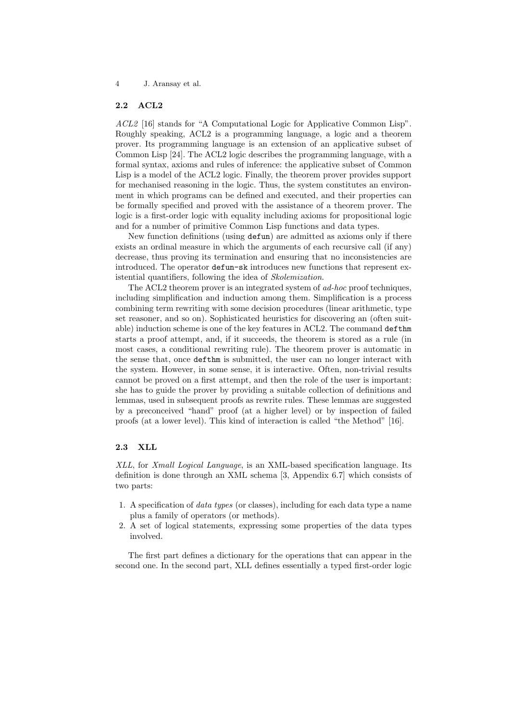### 2.2 ACL2

ACL2 [16] stands for "A Computational Logic for Applicative Common Lisp". Roughly speaking, ACL2 is a programming language, a logic and a theorem prover. Its programming language is an extension of an applicative subset of Common Lisp [24]. The ACL2 logic describes the programming language, with a formal syntax, axioms and rules of inference: the applicative subset of Common Lisp is a model of the ACL2 logic. Finally, the theorem prover provides support for mechanised reasoning in the logic. Thus, the system constitutes an environment in which programs can be defined and executed, and their properties can be formally specified and proved with the assistance of a theorem prover. The logic is a first-order logic with equality including axioms for propositional logic and for a number of primitive Common Lisp functions and data types.

New function definitions (using defun) are admitted as axioms only if there exists an ordinal measure in which the arguments of each recursive call (if any) decrease, thus proving its termination and ensuring that no inconsistencies are introduced. The operator defun-sk introduces new functions that represent existential quantifiers, following the idea of Skolemization.

The ACL2 theorem prover is an integrated system of ad-hoc proof techniques, including simplification and induction among them. Simplification is a process combining term rewriting with some decision procedures (linear arithmetic, type set reasoner, and so on). Sophisticated heuristics for discovering an (often suitable) induction scheme is one of the key features in ACL2. The command defthm starts a proof attempt, and, if it succeeds, the theorem is stored as a rule (in most cases, a conditional rewriting rule). The theorem prover is automatic in the sense that, once defthm is submitted, the user can no longer interact with the system. However, in some sense, it is interactive. Often, non-trivial results cannot be proved on a first attempt, and then the role of the user is important: she has to guide the prover by providing a suitable collection of definitions and lemmas, used in subsequent proofs as rewrite rules. These lemmas are suggested by a preconceived "hand" proof (at a higher level) or by inspection of failed proofs (at a lower level). This kind of interaction is called "the Method" [16].

### 2.3 XLL

XLL, for Xmall Logical Language, is an XML-based specification language. Its definition is done through an XML schema [3, Appendix 6.7] which consists of two parts:

- 1. A specification of data types (or classes), including for each data type a name plus a family of operators (or methods).
- 2. A set of logical statements, expressing some properties of the data types involved.

The first part defines a dictionary for the operations that can appear in the second one. In the second part, XLL defines essentially a typed first-order logic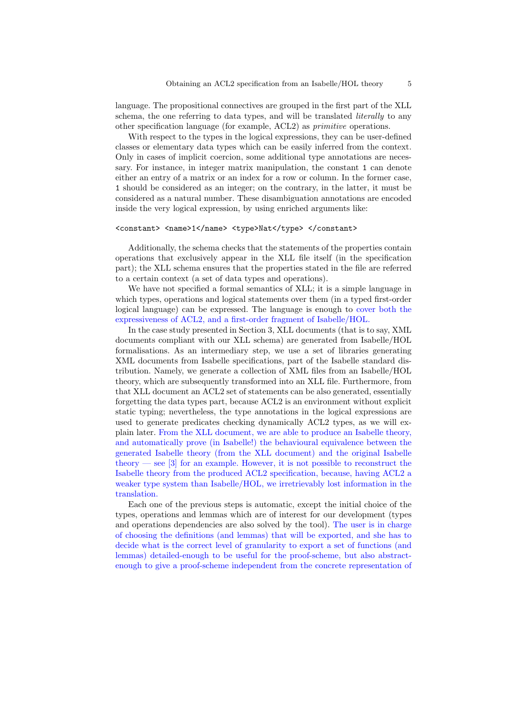language. The propositional connectives are grouped in the first part of the XLL schema, the one referring to data types, and will be translated *literally* to any other specification language (for example, ACL2) as primitive operations.

With respect to the types in the logical expressions, they can be user-defined classes or elementary data types which can be easily inferred from the context. Only in cases of implicit coercion, some additional type annotations are necessary. For instance, in integer matrix manipulation, the constant 1 can denote either an entry of a matrix or an index for a row or column. In the former case, 1 should be considered as an integer; on the contrary, in the latter, it must be considered as a natural number. These disambiguation annotations are encoded inside the very logical expression, by using enriched arguments like:

#### <constant> <name>1</name> <type>Nat</type> </constant>

Additionally, the schema checks that the statements of the properties contain operations that exclusively appear in the XLL file itself (in the specification part); the XLL schema ensures that the properties stated in the file are referred to a certain context (a set of data types and operations).

We have not specified a formal semantics of XLL; it is a simple language in which types, operations and logical statements over them (in a typed first-order logical language) can be expressed. The language is enough to cover both the expressiveness of ACL2, and a first-order fragment of Isabelle/HOL.

In the case study presented in Section 3, XLL documents (that is to say, XML documents compliant with our XLL schema) are generated from Isabelle/HOL formalisations. As an intermediary step, we use a set of libraries generating XML documents from Isabelle specifications, part of the Isabelle standard distribution. Namely, we generate a collection of XML files from an Isabelle/HOL theory, which are subsequently transformed into an XLL file. Furthermore, from that XLL document an ACL2 set of statements can be also generated, essentially forgetting the data types part, because ACL2 is an environment without explicit static typing; nevertheless, the type annotations in the logical expressions are used to generate predicates checking dynamically ACL2 types, as we will explain later. From the XLL document, we are able to produce an Isabelle theory, and automatically prove (in Isabelle!) the behavioural equivalence between the generated Isabelle theory (from the XLL document) and the original Isabelle theory  $-$  see [3] for an example. However, it is not possible to reconstruct the Isabelle theory from the produced ACL2 specification, because, having ACL2 a weaker type system than Isabelle/HOL, we irretrievably lost information in the translation.

Each one of the previous steps is automatic, except the initial choice of the types, operations and lemmas which are of interest for our development (types and operations dependencies are also solved by the tool). The user is in charge of choosing the definitions (and lemmas) that will be exported, and she has to decide what is the correct level of granularity to export a set of functions (and lemmas) detailed-enough to be useful for the proof-scheme, but also abstractenough to give a proof-scheme independent from the concrete representation of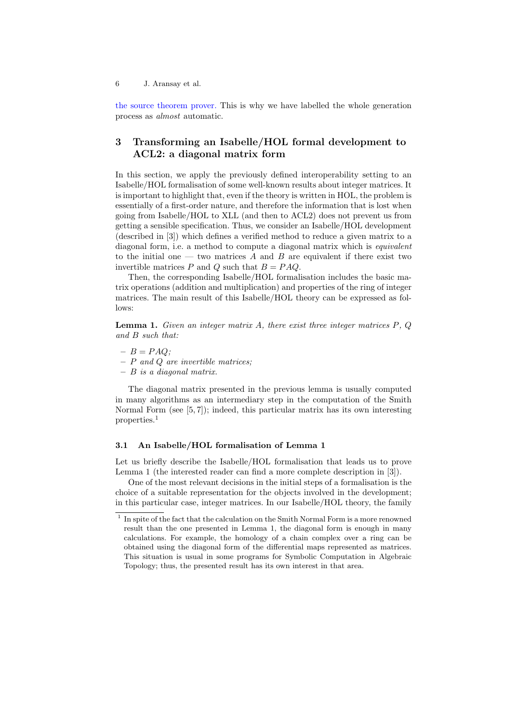the source theorem prover. This is why we have labelled the whole generation process as almost automatic.

# 3 Transforming an Isabelle/HOL formal development to ACL2: a diagonal matrix form

In this section, we apply the previously defined interoperability setting to an Isabelle/HOL formalisation of some well-known results about integer matrices. It is important to highlight that, even if the theory is written in HOL, the problem is essentially of a first-order nature, and therefore the information that is lost when going from Isabelle/HOL to XLL (and then to ACL2) does not prevent us from getting a sensible specification. Thus, we consider an Isabelle/HOL development (described in [3]) which defines a verified method to reduce a given matrix to a diagonal form, i.e. a method to compute a diagonal matrix which is *equivalent* to the initial one — two matrices  $A$  and  $B$  are equivalent if there exist two invertible matrices P and Q such that  $B = PAQ$ .

Then, the corresponding Isabelle/HOL formalisation includes the basic matrix operations (addition and multiplication) and properties of the ring of integer matrices. The main result of this Isabelle/HOL theory can be expressed as follows:

**Lemma 1.** Given an integer matrix  $A$ , there exist three integer matrices  $P$ ,  $Q$ and B such that:

- $B = PAQ$ ;
- $P$  and Q are invertible matrices;
- $B$  is a diagonal matrix.

The diagonal matrix presented in the previous lemma is usually computed in many algorithms as an intermediary step in the computation of the Smith Normal Form (see [5, 7]); indeed, this particular matrix has its own interesting properties.<sup>1</sup>

### 3.1 An Isabelle/HOL formalisation of Lemma 1

Let us briefly describe the Isabelle/HOL formalisation that leads us to prove Lemma 1 (the interested reader can find a more complete description in [3]).

One of the most relevant decisions in the initial steps of a formalisation is the choice of a suitable representation for the objects involved in the development; in this particular case, integer matrices. In our Isabelle/HOL theory, the family

<sup>&</sup>lt;sup>1</sup> In spite of the fact that the calculation on the Smith Normal Form is a more renowned result than the one presented in Lemma 1, the diagonal form is enough in many calculations. For example, the homology of a chain complex over a ring can be obtained using the diagonal form of the differential maps represented as matrices. This situation is usual in some programs for Symbolic Computation in Algebraic Topology; thus, the presented result has its own interest in that area.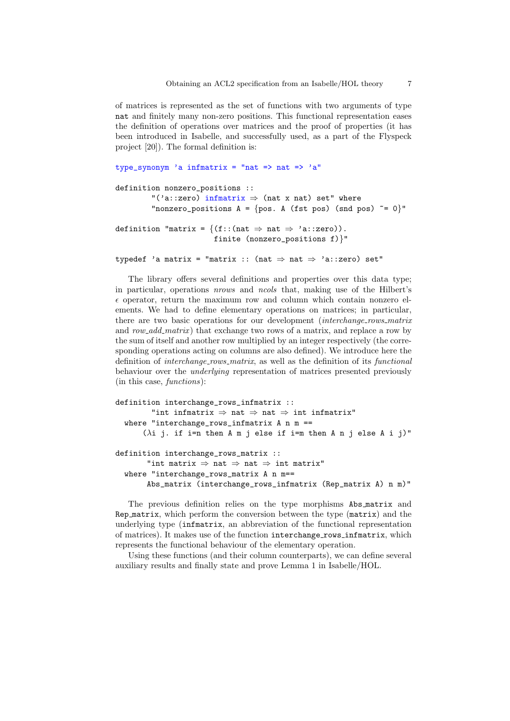of matrices is represented as the set of functions with two arguments of type nat and finitely many non-zero positions. This functional representation eases the definition of operations over matrices and the proof of properties (it has been introduced in Isabelle, and successfully used, as a part of the Flyspeck project [20]). The formal definition is:

```
type_synonym 'a infmatrix = "nat => nat => 'a"
definition nonzero_positions ::
         "('a::zero) infmatrix \Rightarrow (nat x nat) set" where
         "nonzero_positions A = \{pos. A (fst pos) (snd pos) <math>\in 0</math>}".definition "matrix = {(f::(nat \Rightarrow nat \Rightarrow 'a::zero)).
                          finite (nonzero_positions f)}"
typedef 'a matrix = "matrix :: (nat \Rightarrow nat \Rightarrow 'a::zero) set"
```
The library offers several definitions and properties over this data type; in particular, operations nrows and ncols that, making use of the Hilbert's  $\epsilon$  operator, return the maximum row and column which contain nonzero elements. We had to define elementary operations on matrices; in particular, there are two basic operations for our development (interchange\_rows\_matrix and  $row\_add\_matrix$ ) that exchange two rows of a matrix, and replace a row by the sum of itself and another row multiplied by an integer respectively (the corresponding operations acting on columns are also defined). We introduce here the definition of interchange\_rows\_matrix, as well as the definition of its functional behaviour over the underlying representation of matrices presented previously (in this case, functions):

```
definition interchange_rows_infmatrix ::
         "int infmatrix \Rightarrow nat \Rightarrow nat \Rightarrow int infmatrix"
  where "interchange_rows_infmatrix A n m ==
       (\lambdai j. if i=n then A m j else if i=m then A n j else A i j)"
definition interchange_rows_matrix ::
        "int matrix \Rightarrow nat \Rightarrow nat \Rightarrow int matrix"
  where "interchange_rows_matrix A n m==
        Abs_matrix (interchange_rows_infmatrix (Rep_matrix A) n m)"
```
The previous definition relies on the type morphisms Abs matrix and Rep matrix, which perform the conversion between the type (matrix) and the underlying type (infmatrix, an abbreviation of the functional representation of matrices). It makes use of the function interchange rows infmatrix, which represents the functional behaviour of the elementary operation.

Using these functions (and their column counterparts), we can define several auxiliary results and finally state and prove Lemma 1 in Isabelle/HOL.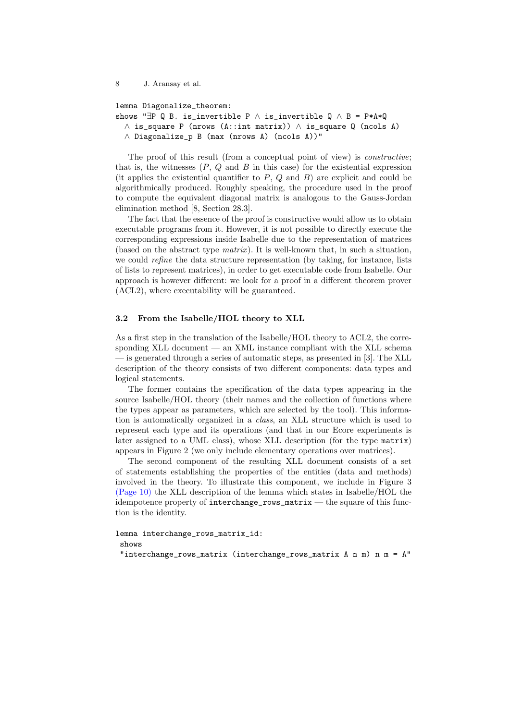```
lemma Diagonalize_theorem:
shows "∃P Q B. is_invertible P \land is_invertible Q \land B = P*A*Q
  ∧ is_square P (nrows (A::int matrix)) ∧ is_square Q (ncols A)
  ∧ Diagonalize_p B (max (nrows A) (ncols A))"
```
The proof of this result (from a conceptual point of view) is constructive; that is, the witnesses  $(P, Q \text{ and } B \text{ in this case})$  for the existential expression (it applies the existential quantifier to  $P$ ,  $Q$  and  $B$ ) are explicit and could be algorithmically produced. Roughly speaking, the procedure used in the proof to compute the equivalent diagonal matrix is analogous to the Gauss-Jordan elimination method [8, Section 28.3].

The fact that the essence of the proof is constructive would allow us to obtain executable programs from it. However, it is not possible to directly execute the corresponding expressions inside Isabelle due to the representation of matrices (based on the abstract type  $matrix$ ). It is well-known that, in such a situation, we could *refine* the data structure representation (by taking, for instance, lists of lists to represent matrices), in order to get executable code from Isabelle. Our approach is however different: we look for a proof in a different theorem prover (ACL2), where executability will be guaranteed.

### 3.2 From the Isabelle/HOL theory to XLL

As a first step in the translation of the Isabelle/HOL theory to ACL2, the corresponding XLL document — an XML instance compliant with the XLL schema — is generated through a series of automatic steps, as presented in [3]. The XLL description of the theory consists of two different components: data types and logical statements.

The former contains the specification of the data types appearing in the source Isabelle/HOL theory (their names and the collection of functions where the types appear as parameters, which are selected by the tool). This information is automatically organized in a class, an XLL structure which is used to represent each type and its operations (and that in our Ecore experiments is later assigned to a UML class), whose XLL description (for the type matrix) appears in Figure 2 (we only include elementary operations over matrices).

The second component of the resulting XLL document consists of a set of statements establishing the properties of the entities (data and methods) involved in the theory. To illustrate this component, we include in Figure 3 (Page 10) the XLL description of the lemma which states in Isabelle/HOL the idempotence property of interchange\_rows\_matrix — the square of this function is the identity.

```
lemma interchange rows matrix id:
shows
 "interchange_rows_matrix (interchange_rows_matrix A n m) n m = A"
```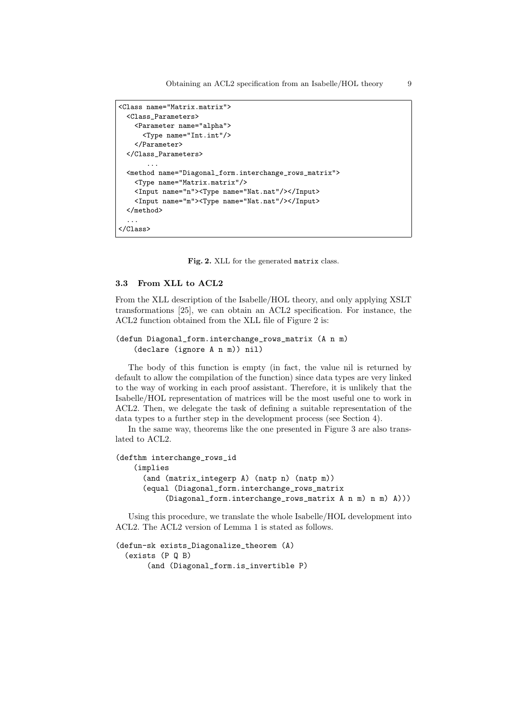Obtaining an ACL2 specification from an Isabelle/HOL theory 9

```
<Class name="Matrix.matrix">
 <Class_Parameters>
    <Parameter name="alpha">
     <Type name="Int.int"/>
    </Parameter>
 </Class_Parameters>
       ...
 <method name="Diagonal_form.interchange_rows_matrix">
    <Type name="Matrix.matrix"/>
    <Input name="n"><Type name="Nat.nat"/></Input>
    <Input name="m"><Type name="Nat.nat"/></Input>
 </method>
  ...
</Class>
```
Fig. 2. XLL for the generated matrix class.

### 3.3 From XLL to ACL2

From the XLL description of the Isabelle/HOL theory, and only applying XSLT transformations [25], we can obtain an ACL2 specification. For instance, the ACL2 function obtained from the XLL file of Figure 2 is:

```
(defun Diagonal_form.interchange_rows_matrix (A n m)
    (declare (ignore A n m)) nil)
```
The body of this function is empty (in fact, the value nil is returned by default to allow the compilation of the function) since data types are very linked to the way of working in each proof assistant. Therefore, it is unlikely that the Isabelle/HOL representation of matrices will be the most useful one to work in ACL2. Then, we delegate the task of defining a suitable representation of the data types to a further step in the development process (see Section 4).

In the same way, theorems like the one presented in Figure 3 are also translated to ACL2.

```
(defthm interchange_rows_id
    (implies
      (and (matrix_integerp A) (natp n) (natp m))
      (equal (Diagonal_form.interchange_rows_matrix
           (Diagonal_form.interchange_rows_matrix A n m) n m) A)))
```
Using this procedure, we translate the whole Isabelle/HOL development into ACL2. The ACL2 version of Lemma 1 is stated as follows.

```
(defun-sk exists_Diagonalize_theorem (A)
  (exists (P Q B)
       (and (Diagonal_form.is_invertible P)
```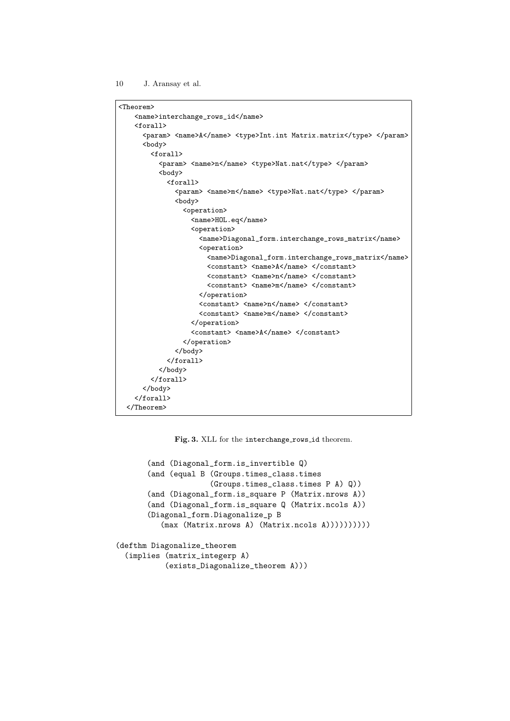```
<Theorem>
    <name>interchange_rows_id</name>
    <forall>
      <param> <name>A</name> <type>Int.int Matrix.matrix</type> </param>
      <body>
        <forall>
          <param> <name>n</name> <type>Nat.nat</type> </param>
          <body>
            <forall>
              <param> <name>m</name> <type>Nat.nat</type> </param>
              <body>
                <operation>
                  .<br><name>HOL.eq</name>
                  <sub>operation</sub></sub>
                    <name>Diagonal_form.interchange_rows_matrix</name>
                    <operation>
                       <name>Diagonal_form.interchange_rows_matrix</name>
                       <constant> <name>A</name> </constant>
                       <constant> <name>n</name> </constant>
                       <constant> <name>m</name> </constant>
                    </operation>
                    <constant> <name>n</name> </constant>
                    <constant> <name>m</name> </constant>
                  </operation>
                  <constant> <name>A</name> </constant>
                </operation>
              </body>
            </forall>
          </body>
        </forall>
      </body>
    </forall>
  </Theorem>
```
Fig. 3. XLL for the interchange rows id theorem.

```
(and (Diagonal_form.is_invertible Q)
       (and (equal B (Groups.times_class.times
                     (Groups.times_class.times P A) Q))
       (and (Diagonal_form.is_square P (Matrix.nrows A))
       (and (Diagonal_form.is_square Q (Matrix.ncols A))
       (Diagonal_form.Diagonalize_p B
          (max (Matrix.nrows A) (Matrix.ncols A))))))))))
(defthm Diagonalize_theorem
  (implies (matrix_integerp A)
```

```
(exists_Diagonalize_theorem A)))
```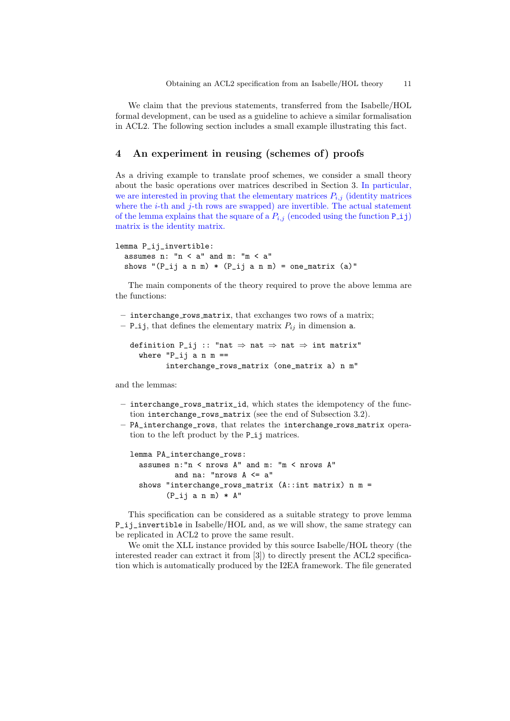We claim that the previous statements, transferred from the Isabelle/HOL formal development, can be used as a guideline to achieve a similar formalisation in ACL2. The following section includes a small example illustrating this fact.

# 4 An experiment in reusing (schemes of) proofs

As a driving example to translate proof schemes, we consider a small theory about the basic operations over matrices described in Section 3. In particular, we are interested in proving that the elementary matrices  $P_{i,j}$  (identity matrices where the  $i$ -th and  $j$ -th rows are swapped) are invertible. The actual statement of the lemma explains that the square of a  $P_{i,j}$  (encoded using the function P<sub>-ij</sub>) matrix is the identity matrix.

```
lemma P_ij_invertible:
  assumes n: "n < a" and m: "m < a"
  shows "(P_i j a n m) * (P_i j a n m) = one_matrix (a)"
```
The main components of the theory required to prove the above lemma are the functions:

- interchange rows matrix, that exchanges two rows of a matrix;
- P<sub>ij</sub>, that defines the elementary matrix  $P_{ij}$  in dimension a.

```
definition P_ij :: "nat \Rightarrow nat \Rightarrow nat \Rightarrow int matrix"
  where "P_i a n m ==
          interchange_rows_matrix (one_matrix a) n m"
```
and the lemmas:

- interchange\_rows\_matrix\_id, which states the idempotency of the function interchange\_rows\_matrix (see the end of Subsection 3.2).
- PA\_interchange\_rows, that relates the interchange rows matrix operation to the left product by the P<sub>ij</sub> matrices.

```
lemma PA_interchange_rows:
  assumes n:"n < nrows A" and m: "m < nrows A"
          and na: "nrows A \leq a"
  shows "interchange_rows_matrix (A::int matrix) n m =
        (P_iij a n m) * A"
```
This specification can be considered as a suitable strategy to prove lemma P\_ij\_invertible in Isabelle/HOL and, as we will show, the same strategy can be replicated in ACL2 to prove the same result.

We omit the XLL instance provided by this source Isabelle/HOL theory (the interested reader can extract it from [3]) to directly present the ACL2 specification which is automatically produced by the I2EA framework. The file generated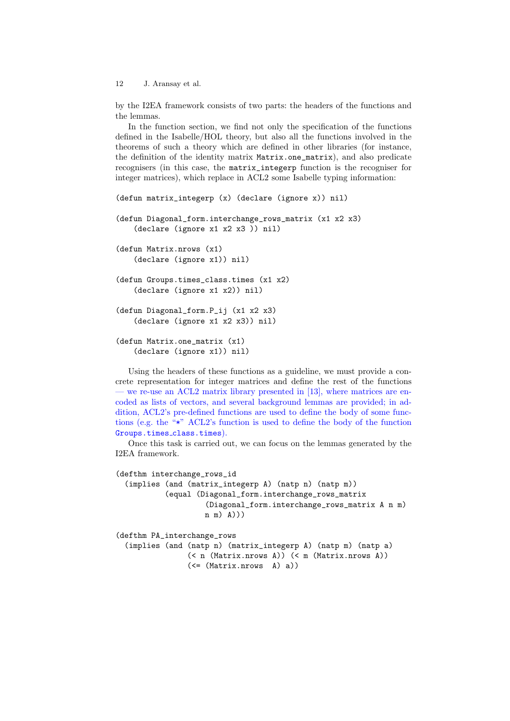by the I2EA framework consists of two parts: the headers of the functions and the lemmas.

In the function section, we find not only the specification of the functions defined in the Isabelle/HOL theory, but also all the functions involved in the theorems of such a theory which are defined in other libraries (for instance, the definition of the identity matrix Matrix.one\_matrix), and also predicate recognisers (in this case, the matrix\_integerp function is the recogniser for integer matrices), which replace in ACL2 some Isabelle typing information:

```
(defun matrix_integerp (x) (declare (ignore x)) nil)
(defun Diagonal_form.interchange_rows_matrix (x1 x2 x3)
    (declare (ignore x1 x2 x3 )) nil)
(defun Matrix.nrows (x1)
    (declare (ignore x1)) nil)
(defun Groups.times_class.times (x1 x2)
    (declare (ignore x1 x2)) nil)
(defun Diagonal_form.P_ij (x1 x2 x3)
    (declare (ignore x1 x2 x3)) nil)
(defun Matrix.one_matrix (x1)
    (declare (ignore x1)) nil)
```
Using the headers of these functions as a guideline, we must provide a concrete representation for integer matrices and define the rest of the functions — we re-use an ACL2 matrix library presented in [13], where matrices are encoded as lists of vectors, and several background lemmas are provided; in addition, ACL2's pre-defined functions are used to define the body of some functions (e.g. the "\*" ACL2's function is used to define the body of the function Groups.times class.times).

Once this task is carried out, we can focus on the lemmas generated by the I2EA framework.

```
(defthm interchange_rows_id
  (implies (and (matrix_integerp A) (natp n) (natp m))
           (equal (Diagonal_form.interchange_rows_matrix
                    (Diagonal_form.interchange_rows_matrix A n m)
                   n m) A)))
(defthm PA_interchange_rows
  (implies (and (natp n) (matrix_integerp A) (natp m) (natp a)
                (< n (Matrix.nrows A)) (< m (Matrix.nrows A))
                (<= (Matrix.nrows A) a))
```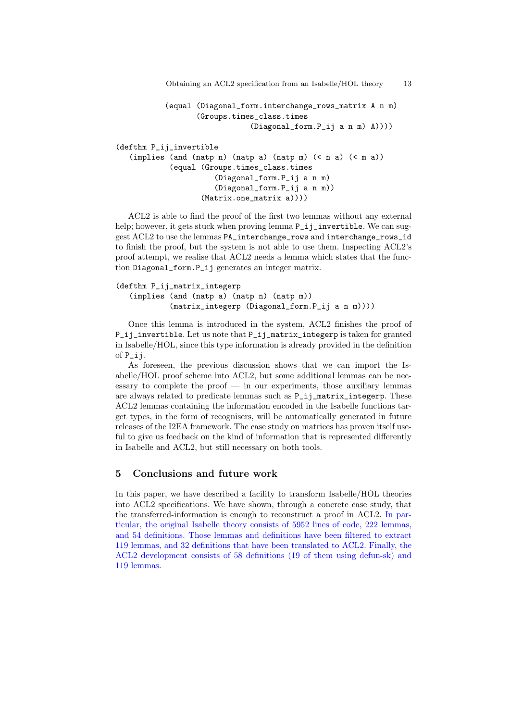Obtaining an ACL2 specification from an Isabelle/HOL theory 13

```
(equal (Diagonal_form.interchange_rows_matrix A n m)
       (Groups.times_class.times
                   (Diagonal_form.P_ij a n m) A))))
```

```
(defthm P_ij_invertible
   (implies (and (natp n) (natp a) (natp m) (\langle n a \rangle) (\langle n a \rangle)
              (equal (Groups.times_class.times
                         (Diagonal_form.P_ij a n m)
                         (Diagonal_form.P_ij a n m))
                      (Matrix.one_matrix a))))
```
ACL2 is able to find the proof of the first two lemmas without any external help; however, it gets stuck when proving lemma  $P_i$ ij\_invertible. We can suggest ACL2 to use the lemmas PA\_interchange\_rows and interchange\_rows\_id to finish the proof, but the system is not able to use them. Inspecting ACL2's proof attempt, we realise that ACL2 needs a lemma which states that the function Diagonal\_form.P\_ij generates an integer matrix.

```
(defthm P_ij_matrix_integerp
   (implies (and (natp a) (natp n) (natp m))
            (matrix_integerp (Diagonal_form.P_ij a n m))))
```
Once this lemma is introduced in the system, ACL2 finishes the proof of P\_ij\_invertible. Let us note that P\_ij\_matrix\_integerp is taken for granted in Isabelle/HOL, since this type information is already provided in the definition of P\_ij.

As foreseen, the previous discussion shows that we can import the Isabelle/HOL proof scheme into ACL2, but some additional lemmas can be necessary to complete the proof  $-$  in our experiments, those auxiliary lemmas are always related to predicate lemmas such as P\_ij\_matrix\_integerp. These ACL2 lemmas containing the information encoded in the Isabelle functions target types, in the form of recognisers, will be automatically generated in future releases of the I2EA framework. The case study on matrices has proven itself useful to give us feedback on the kind of information that is represented differently in Isabelle and ACL2, but still necessary on both tools.

# 5 Conclusions and future work

In this paper, we have described a facility to transform Isabelle/HOL theories into ACL2 specifications. We have shown, through a concrete case study, that the transferred-information is enough to reconstruct a proof in ACL2. In particular, the original Isabelle theory consists of 5952 lines of code, 222 lemmas, and 54 definitions. Those lemmas and definitions have been filtered to extract 119 lemmas, and 32 definitions that have been translated to ACL2. Finally, the ACL2 development consists of 58 definitions (19 of them using defun-sk) and 119 lemmas.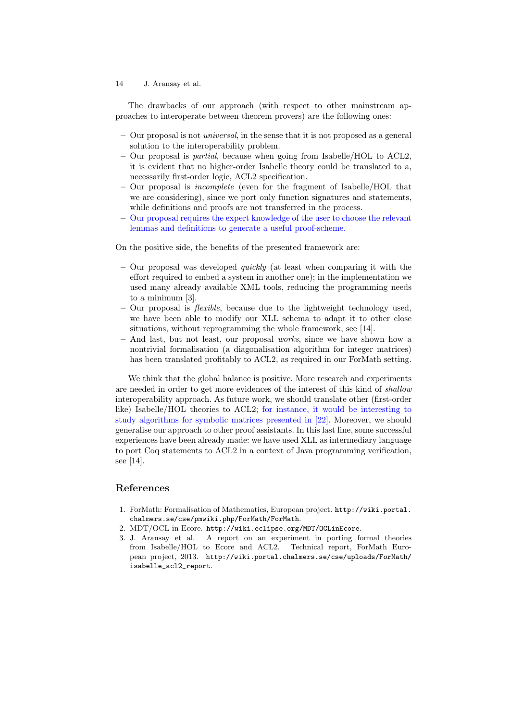The drawbacks of our approach (with respect to other mainstream approaches to interoperate between theorem provers) are the following ones:

- Our proposal is not universal, in the sense that it is not proposed as a general solution to the interoperability problem.
- Our proposal is partial, because when going from Isabelle/HOL to ACL2, it is evident that no higher-order Isabelle theory could be translated to a, necessarily first-order logic, ACL2 specification.
- Our proposal is incomplete (even for the fragment of Isabelle/HOL that we are considering), since we port only function signatures and statements, while definitions and proofs are not transferred in the process.
- Our proposal requires the expert knowledge of the user to choose the relevant lemmas and definitions to generate a useful proof-scheme.

On the positive side, the benefits of the presented framework are:

- Our proposal was developed *quickly* (at least when comparing it with the effort required to embed a system in another one); in the implementation we used many already available XML tools, reducing the programming needs to a minimum [3].
- Our proposal is flexible, because due to the lightweight technology used, we have been able to modify our XLL schema to adapt it to other close situations, without reprogramming the whole framework, see [14].
- $-$  And last, but not least, our proposal *works*, since we have shown how a nontrivial formalisation (a diagonalisation algorithm for integer matrices) has been translated profitably to ACL2, as required in our ForMath setting.

We think that the global balance is positive. More research and experiments are needed in order to get more evidences of the interest of this kind of shallow interoperability approach. As future work, we should translate other (first-order like) Isabelle/HOL theories to ACL2; for instance, it would be interesting to study algorithms for symbolic matrices presented in [22]. Moreover, we should generalise our approach to other proof assistants. In this last line, some successful experiences have been already made: we have used XLL as intermediary language to port Coq statements to ACL2 in a context of Java programming verification, see [14].

## References

- 1. ForMath: Formalisation of Mathematics, European project. http://wiki.portal. chalmers.se/cse/pmwiki.php/ForMath/ForMath.
- 2. MDT/OCL in Ecore. http://wiki.eclipse.org/MDT/OCLinEcore.
- 3. J. Aransay et al. A report on an experiment in porting formal theories from Isabelle/HOL to Ecore and ACL2. Technical report, ForMath European project, 2013. http://wiki.portal.chalmers.se/cse/uploads/ForMath/ isabelle\_acl2\_report.